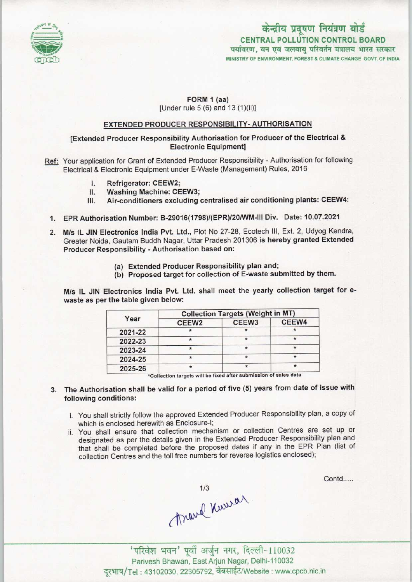

# CENTRAL POLLUTION CONTROL BOARD पर्यावरण, वन एवं जलवाय परिवर्तन मंत्रालय भारत सरकार केन्द्रीय प्रदूषण नियंत्रण बोर्ड

MINISTRY OF ENVIRONMENT, FOREST & CLIMATE CHANGE GOVT. OF INDIA

## FORM 1 (aa)

[Under rule 5 (6) and 13 (1)(ii)]

#### EXTENDED PRODUCER RESPONSIBILITY- AUTHORISATION

## [Extended Producer Responsibility Authorisation for Producer of the Electrical & Electronic Equipment]

Ref: Your application for Grant of Extended Producer Responsibility - Authorisation for following Electrical & Electronic Equipment under E-Waste (Management) Rules, 2016<br>
I. Refrigerator: CEEW2;<br>
II Washing Machine: CEEW3

- 
- I. Refrigerator: CEEW2;<br>II. Washing Machine: CEEW3;<br>III. Air-conditioners excluding
- Air-conditioners excluding centralised air conditioning plants: CEEW4:
- 1.EPR Authorisation Number: B-29016<1798)/(EPR)/20/WM-lll Div. Date: 10.07.202f
- 2. M/s IL JIN Electronics India Pvt. Ltd., Plot No 27-28, Ecotech III, Ext. 2, Udyog Kendra, Greater Noida, Gautam Buddh Nagar, Uttar Pradesh 201306 is hereby granted Extended Producer Responsibility - Authorisation based on:
	- (a)Extended Producer Responsibility plan and;
	- (b) Proposed target for collection of E-waste submitted by them.

M/s IL JIN Electronics India Pvt. Ltd. shall meet the yearly collection target for ewaste as per the table given below:

| Year    | <b>Collection Targets (Weight in MT)</b> |                   |         |
|---------|------------------------------------------|-------------------|---------|
|         | CEEW <sub>2</sub>                        | CEEW <sub>3</sub> | CEEW4   |
| 2021-22 |                                          |                   |         |
| 2022-23 |                                          |                   | $\star$ |
| 2023-24 |                                          |                   |         |
| 2024-25 |                                          |                   |         |
| 2025-26 |                                          |                   |         |

Collection targets will be fixed after submission of s

- 3. The Authorisation shall be valid for a period of five (5) years from date of issue with following conditions:
	- i. You shall strictly follow the approved Extended Producer Responsibility plan, a copy of which is enclosed herewith as Enclosure-I;
	- ii. You shall ensure that collection mechanism or collection Centres are set up or designated as per the details given in the Extended Producer Responsibility plan and that shall be completed before the proposed dates if any in the EPR Plan (list of collection Centres and the toll free numbers for reverse logistics enclosed);

Contd.....

Travel Kurra

'परिवेश भवन' पूर्वी अर्जुन नगर, दिल्ली-110032 Parivesh Bhawan, East Arjun Nagar, Delhi-110032 दरभाष/Tel: 43102030, 22305792, वेबसाईट/Website : www.cpcb.nic.in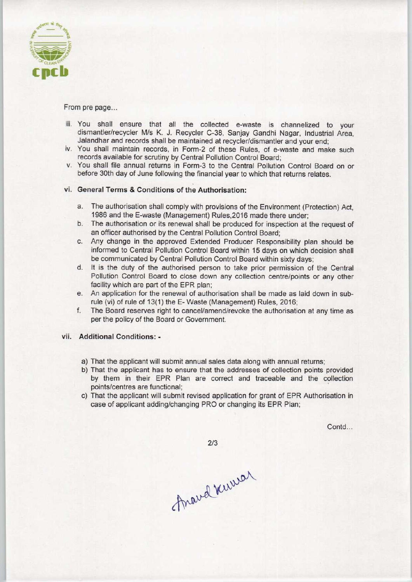

From pre page...

- iii. You shall ensure that all the collected e-waste is channelized to your dismantler/recycler M/s K. J. Recycler C-38, Sanjay Gandhi Nagar, Industrial Area, Jalandhar and records shall be maintained at recycler/dismantler and your end;
- iv. You shall maintain records, in Form-2 of these Rules, of e-waste and make such records available for scrutiny by Central Pollution Control Board;
- v. You shall file annual returns in Form-3 to the Central Pollution Control Board on or before 30th day of June following the financial year to which that returns relates.

#### vi. General Terms & Conditions of the Authorisation:

- a.The authorisation shall comply with provisions ofthe Environment (Protection) Act, 1986 and the E-waste (Management) Rules,2016 made there under;
- b.The authorisation or its renewal shall be produced for inspection at the request of an officer authorised by the Central Pollution Control Board;
- c.Any change in the approved Extended Producer Responsibility plan should be informed to Central Pollution Control Board within 15 days on which decision shall be communicated by Central Pollution Control Board within sixty days;
- d. It is the duty of the authorised person to take prior permission of the Central Pollution Control Board to close down any collection centre/points or any other facility which are part of the EPR plan;
- e.An application for the renewal of authorisation shall be made aslaid down in subrule (vi) of rule of 13(1) the E-Waste (Management) Rules, 2016;
- f. The Board reserves right to cancel/amend/revoke the authorisation at any time as per the policy of the Board or Government.

## vii. Additional Conditions: -

- a) That the applicant will submit annual sales data along with annual returns;
- b) That the applicant has to ensure that the addresses of collection points provided by them in their EPR Plan are correct and traceable and the collection points/centres are functional;
- c) That the applicant will submit revised application for grant of EPR Authorisation in case of applicant adding/changing PRO or changing its EPR Plan;

Contd...

 $2/3$ 

Anaval Kurvar